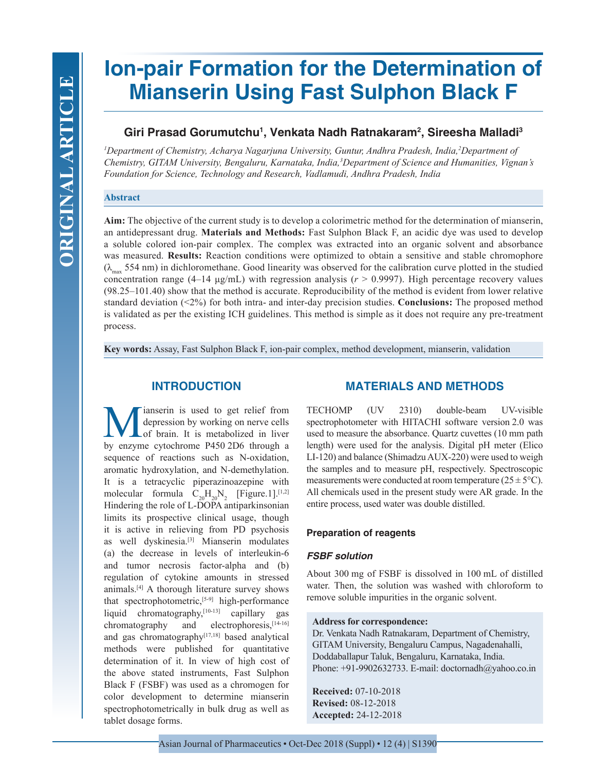# **Ion-pair Formation for the Determination of Mianserin Using Fast Sulphon Black F**

# **Giri Prasad Gorumutchu1 , Venkata Nadh Ratnakaram2 , Sireesha Malladi3**

*1 Department of Chemistry, Acharya Nagarjuna University, Guntur, Andhra Pradesh, India,2 Department of Chemistry, GITAM University, Bengaluru, Karnataka, India,3 Department of Science and Humanities, Vignan's Foundation for Science, Technology and Research, Vadlamudi, Andhra Pradesh, India*

## **Abstract**

**Aim:** The objective of the current study is to develop a colorimetric method for the determination of mianserin, an antidepressant drug. **Materials and Methods:** Fast Sulphon Black F, an acidic dye was used to develop a soluble colored ion-pair complex. The complex was extracted into an organic solvent and absorbance was measured. **Results:** Reaction conditions were optimized to obtain a sensitive and stable chromophore  $(\lambda_{\text{max}} 554 \text{ nm})$  in dichloromethane. Good linearity was observed for the calibration curve plotted in the studied concentration range (4–14  $\mu$ g/mL) with regression analysis ( $r > 0.9997$ ). High percentage recovery values (98.25–101.40) show that the method is accurate. Reproducibility of the method is evident from lower relative standard deviation (<2%) for both intra- and inter-day precision studies. **Conclusions:** The proposed method is validated as per the existing ICH guidelines. This method is simple as it does not require any pre-treatment process.

**Key words:** Assay, Fast Sulphon Black F, ion-pair complex, method development, mianserin, validation

# **INTRODUCTION**

**M** depression by working on nerve cells<br>that the metabolized in liver<br>by enzyme cytochrome P450.2D6 through a depression by working on nerve cells of brain. It is metabolized in liver by enzyme cytochrome P450 2D6 through a sequence of reactions such as N-oxidation, aromatic hydroxylation, and N-demethylation. It is a tetracyclic piperazinoazepine with molecular formula  $C_{20}H_{20}N_2$  [Figure.1].<sup>[1,2]</sup> Hindering the role of L-DOPA antiparkinsonian limits its prospective clinical usage, though it is active in relieving from PD psychosis as well dyskinesia.[3] Mianserin modulates (a) the decrease in levels of interleukin-6 and tumor necrosis factor-alpha and (b) regulation of cytokine amounts in stressed animals.[4] A thorough literature survey shows that spectrophotometric, $[5-9]$  high-performance liquid chromatography,<sup>[10-13]</sup> capillary gas chromatography and electrophoresis, [14-16] and gas chromatography<sup>[17,18]</sup> based analytical methods were published for quantitative determination of it. In view of high cost of the above stated instruments, Fast Sulphon Black F (FSBF) was used as a chromogen for color development to determine mianserin spectrophotometrically in bulk drug as well as tablet dosage forms.

# **MATERIALS AND METHODS**

TECHOMP (UV 2310) double-beam UV-visible spectrophotometer with HITACHI software version 2.0 was used to measure the absorbance. Quartz cuvettes (10 mm path length) were used for the analysis. Digital pH meter (Elico LI-120) and balance (Shimadzu AUX-220) were used to weigh the samples and to measure pH, respectively. Spectroscopic measurements were conducted at room temperature  $(25 \pm 5^{\circ}C)$ . All chemicals used in the present study were AR grade. In the entire process, used water was double distilled.

## **Preparation of reagents**

## *FSBF solution*

About 300 mg of FSBF is dissolved in 100 mL of distilled water. Then, the solution was washed with chloroform to remove soluble impurities in the organic solvent.

## **Address for correspondence:**

Dr. Venkata Nadh Ratnakaram, Department of Chemistry, GITAM University, Bengaluru Campus, Nagadenahalli, Doddaballapur Taluk, Bengaluru, Karnataka, India. Phone: +91-9902632733. E-mail: doctornadh@yahoo.co.in

**Received:** 07-10-2018 **Revised:** 08-12-2018 **Accepted:** 24-12-2018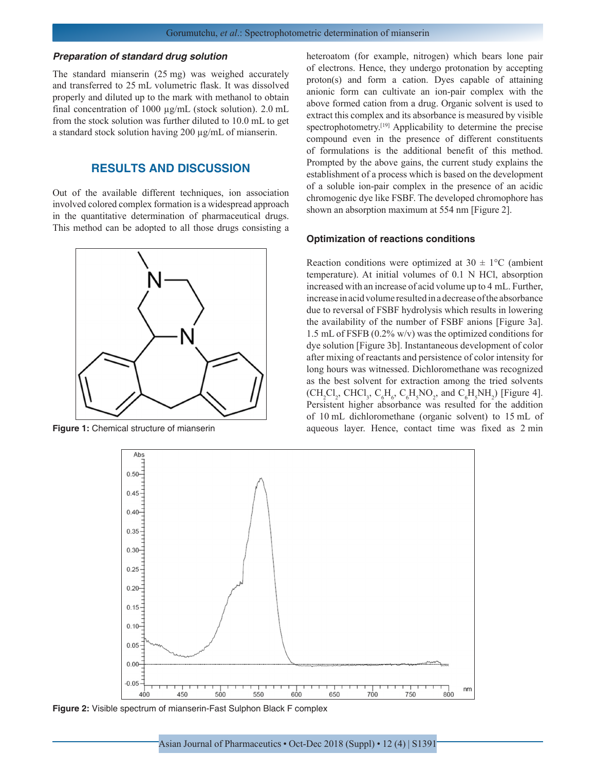#### *Preparation of standard drug solution*

The standard mianserin (25 mg) was weighed accurately and transferred to 25 mL volumetric flask. It was dissolved properly and diluted up to the mark with methanol to obtain final concentration of 1000 µg/mL (stock solution). 2.0 mL from the stock solution was further diluted to 10.0 mL to get a standard stock solution having 200 µg/mL of mianserin.

# **RESULTS AND DISCUSSION**

Out of the available different techniques, ion association involved colored complex formation is a widespread approach in the quantitative determination of pharmaceutical drugs. This method can be adopted to all those drugs consisting a



heteroatom (for example, nitrogen) which bears lone pair of electrons. Hence, they undergo protonation by accepting proton(s) and form a cation. Dyes capable of attaining anionic form can cultivate an ion-pair complex with the above formed cation from a drug. Organic solvent is used to extract this complex and its absorbance is measured by visible spectrophotometry.<sup>[19]</sup> Applicability to determine the precise compound even in the presence of different constituents of formulations is the additional benefit of this method. Prompted by the above gains, the current study explains the establishment of a process which is based on the development of a soluble ion-pair complex in the presence of an acidic chromogenic dye like FSBF. The developed chromophore has shown an absorption maximum at 554 nm [Figure 2].

#### **Optimization of reactions conditions**

Reaction conditions were optimized at  $30 \pm 1$ °C (ambient temperature). At initial volumes of 0.1 N HCl, absorption increased with an increase of acid volume up to 4 mL. Further, increase in acid volume resulted in a decrease of the absorbance due to reversal of FSBF hydrolysis which results in lowering the availability of the number of FSBF anions [Figure 3a]. 1.5 mL of FSFB (0.2% w/v) was the optimized conditions for dye solution [Figure 3b]. Instantaneous development of color after mixing of reactants and persistence of color intensity for long hours was witnessed. Dichloromethane was recognized as the best solvent for extraction among the tried solvents  $(CH_2Cl_2, CHCl_3, C_6H_6, C_6H_5NO_2,$  and  $C_6H_5NH_2$ ) [Figure 4]. Persistent higher absorbance was resulted for the addition of 10 mL dichloromethane (organic solvent) to 15 mL of **Figure 1:** Chemical structure of mianserin and aqueous layer. Hence, contact time was fixed as 2 min



**Figure 2:** Visible spectrum of mianserin-Fast Sulphon Black F complex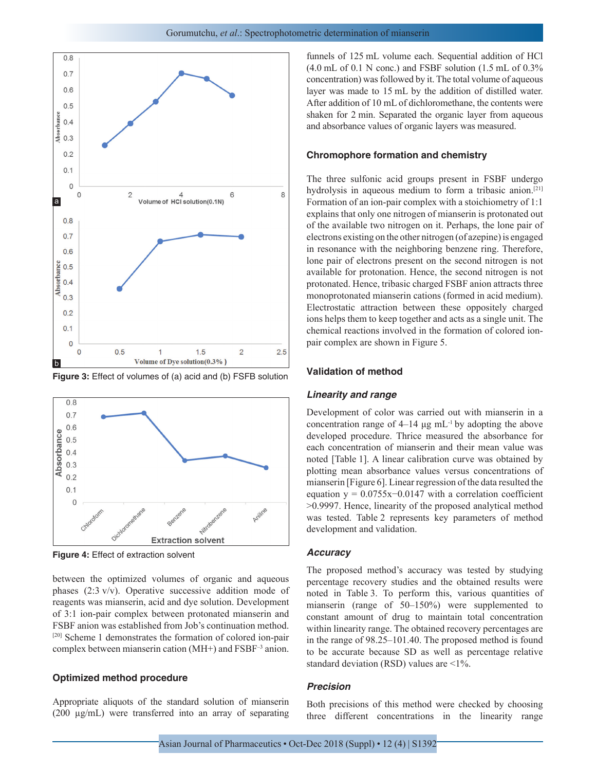

**Figure 3:** Effect of volumes of (a) acid and (b) FSFB solution



**Figure 4:** Effect of extraction solvent

between the optimized volumes of organic and aqueous phases (2:3 v/v). Operative successive addition mode of reagents was mianserin, acid and dye solution. Development of 3:1 ion-pair complex between protonated mianserin and FSBF anion was established from Job's continuation method. [20] Scheme 1 demonstrates the formation of colored ion-pair complex between mianserin cation (MH+) and FSBF–3 anion.

#### **Optimized method procedure**

Appropriate aliquots of the standard solution of mianserin (200 µg/mL) were transferred into an array of separating funnels of 125 mL volume each. Sequential addition of HCl  $(4.0 \text{ mL of } 0.1 \text{ N conc.})$  and FSBF solution  $(1.5 \text{ mL of } 0.3\%)$ concentration) was followed by it. The total volume of aqueous layer was made to 15 mL by the addition of distilled water. After addition of 10 mL of dichloromethane, the contents were shaken for 2 min. Separated the organic layer from aqueous and absorbance values of organic layers was measured.

### **Chromophore formation and chemistry**

The three sulfonic acid groups present in FSBF undergo hydrolysis in aqueous medium to form a tribasic anion.<sup>[21]</sup> Formation of an ion-pair complex with a stoichiometry of 1:1 explains that only one nitrogen of mianserin is protonated out of the available two nitrogen on it. Perhaps, the lone pair of electrons existing on the other nitrogen (of azepine) is engaged in resonance with the neighboring benzene ring. Therefore, lone pair of electrons present on the second nitrogen is not available for protonation. Hence, the second nitrogen is not protonated. Hence, tribasic charged FSBF anion attracts three monoprotonated mianserin cations (formed in acid medium). Electrostatic attraction between these oppositely charged ions helps them to keep together and acts as a single unit. The chemical reactions involved in the formation of colored ionpair complex are shown in Figure 5.

## **Validation of method**

#### *Linearity and range*

Development of color was carried out with mianserin in a concentration range of  $4-14 \mu g$  mL<sup>-1</sup> by adopting the above developed procedure. Thrice measured the absorbance for each concentration of mianserin and their mean value was noted [Table 1]. A linear calibration curve was obtained by plotting mean absorbance values versus concentrations of mianserin [Figure 6]. Linear regression of the data resulted the equation y =  $0.0755x - 0.0147$  with a correlation coefficient >0.9997. Hence, linearity of the proposed analytical method was tested. Table 2 represents key parameters of method development and validation.

### *Accuracy*

The proposed method's accuracy was tested by studying percentage recovery studies and the obtained results were noted in Table 3. To perform this, various quantities of mianserin (range of 50–150%) were supplemented to constant amount of drug to maintain total concentration within linearity range. The obtained recovery percentages are in the range of 98.25–101.40. The proposed method is found to be accurate because SD as well as percentage relative standard deviation (RSD) values are <1%.

#### *Precision*

Both precisions of this method were checked by choosing three different concentrations in the linearity range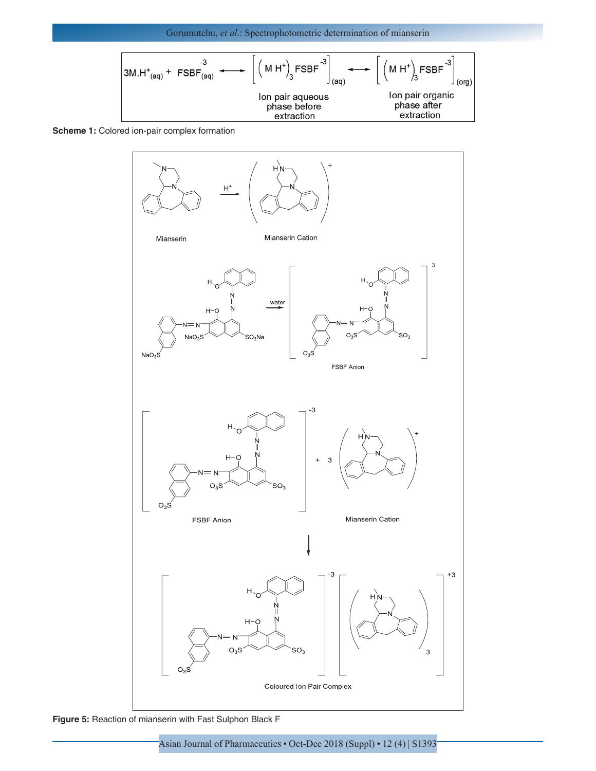Gorumutchu, *et al*.: Spectrophotometric determination of mianserin

$$
3M.H^{+}_{(aq)} + FSBF_{(aq)} \longrightarrow \left[ (M H^{+})_{3} FSBF^{-3} \right]_{(aq)} \longrightarrow \left[ (M H^{+})_{3} FSBF^{-3} \right]_{(org)}
$$
  
lon pair aqueous  
phase before  
extraction  
lon pairs of space after  
extraction

**Scheme 1:** Colored ion-pair complex formation



**Figure 5:** Reaction of mianserin with Fast Sulphon Black F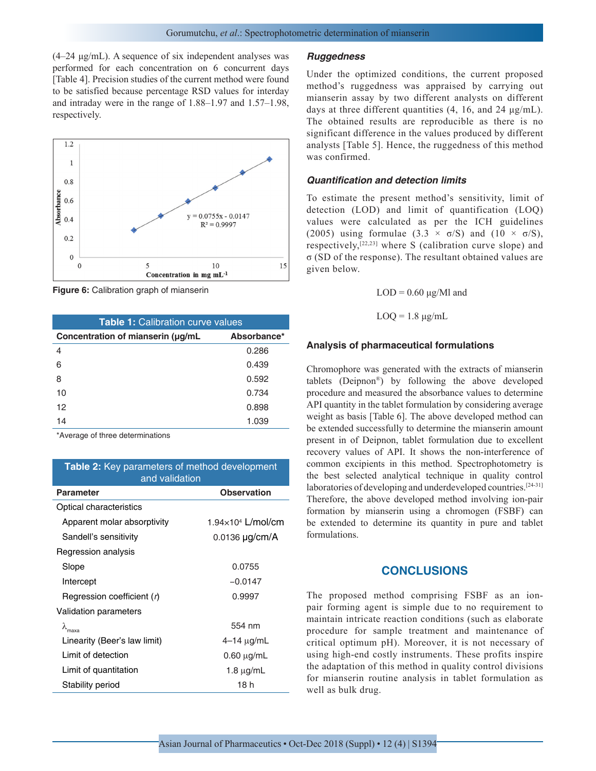(4–24 μg/mL). A sequence of six independent analyses was performed for each concentration on 6 concurrent days [Table 4]. Precision studies of the current method were found to be satisfied because percentage RSD values for interday and intraday were in the range of 1.88–1.97 and 1.57–1.98, respectively.



**Figure 6:** Calibration graph of mianserin

| <b>Table 1: Calibration curve values</b> |             |  |
|------------------------------------------|-------------|--|
| Concentration of mianserin (µg/mL        | Absorbance* |  |
| 4                                        | 0.286       |  |
| 6                                        | 0.439       |  |
| 8                                        | 0.592       |  |
| 10                                       | 0.734       |  |
| 12 <sup>2</sup>                          | 0.898       |  |
| 14                                       | 1.039       |  |

\*Average of three determinations

# **Table 2:** Key parameters of method development and validation

| <b>Observation</b>       |  |  |
|--------------------------|--|--|
|                          |  |  |
| $1.94\times104$ L/mol/cm |  |  |
| 0.0136 µg/cm/A           |  |  |
|                          |  |  |
| 0.0755                   |  |  |
| $-0.0147$                |  |  |
| 0.9997                   |  |  |
|                          |  |  |
| 554 nm                   |  |  |
| $4 - 14 \mu g/mL$        |  |  |
| $0.60 \mu g/mL$          |  |  |
| 1.8 $\mu$ g/mL           |  |  |
| 18 h                     |  |  |
|                          |  |  |

#### *Ruggedness*

Under the optimized conditions, the current proposed method's ruggedness was appraised by carrying out mianserin assay by two different analysts on different days at three different quantities (4, 16, and 24 μg/mL). The obtained results are reproducible as there is no significant difference in the values produced by different analysts [Table 5]. Hence, the ruggedness of this method was confirmed.

### *Quantification and detection limits*

To estimate the present method's sensitivity, limit of detection (LOD) and limit of quantification (LOQ) values were calculated as per the ICH guidelines (2005) using formulae (3.3  $\times$   $\sigma$ /S) and (10  $\times$   $\sigma$ /S), respectively,  $[22,23]$  where S (calibration curve slope) and σ (SD of the response). The resultant obtained values are given below.

 $LOD = 0.60 \mu g/Ml$  and

 $LOQ = 1.8 \mu g/mL$ 

#### **Analysis of pharmaceutical formulations**

Chromophore was generated with the extracts of mianserin tablets (Deipnon®) by following the above developed procedure and measured the absorbance values to determine API quantity in the tablet formulation by considering average weight as basis [Table 6]. The above developed method can be extended successfully to determine the mianserin amount present in of Deipnon, tablet formulation due to excellent recovery values of API. It shows the non-interference of common excipients in this method. Spectrophotometry is the best selected analytical technique in quality control laboratories of developing and underdeveloped countries.<sup>[24-31]</sup> Therefore, the above developed method involving ion-pair formation by mianserin using a chromogen (FSBF) can be extended to determine its quantity in pure and tablet formulations.

## **CONCLUSIONS**

The proposed method comprising FSBF as an ionpair forming agent is simple due to no requirement to maintain intricate reaction conditions (such as elaborate procedure for sample treatment and maintenance of critical optimum pH). Moreover, it is not necessary of using high-end costly instruments. These profits inspire the adaptation of this method in quality control divisions for mianserin routine analysis in tablet formulation as well as bulk drug.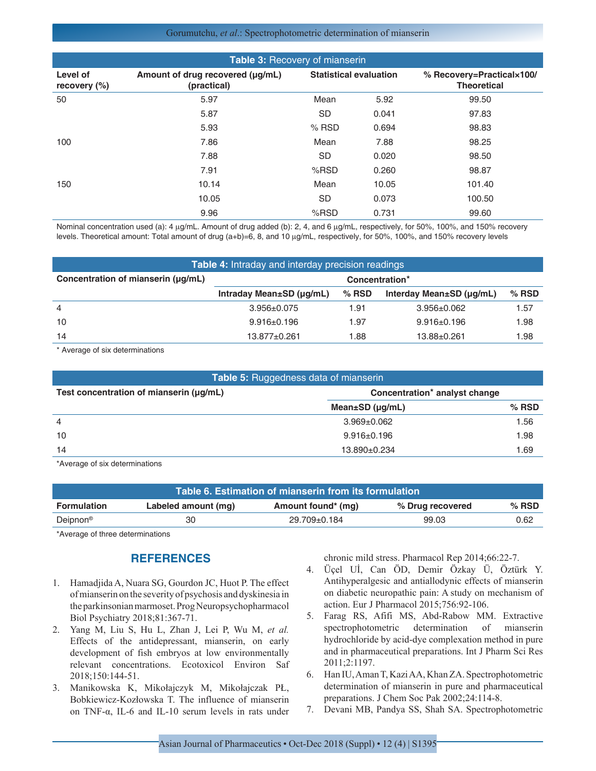#### Gorumutchu, *et al*.: Spectrophotometric determination of mianserin

| Table 3: Recovery of mianserin |                                                 |                               |       |                                                 |
|--------------------------------|-------------------------------------------------|-------------------------------|-------|-------------------------------------------------|
| Level of<br>recovery $(\%)$    | Amount of drug recovered (µg/mL)<br>(practical) | <b>Statistical evaluation</b> |       | % Recovery=Practical×100/<br><b>Theoretical</b> |
| 50                             | 5.97                                            | Mean                          | 5.92  | 99.50                                           |
|                                | 5.87                                            | <b>SD</b>                     | 0.041 | 97.83                                           |
|                                | 5.93                                            | $%$ RSD                       | 0.694 | 98.83                                           |
| 100                            | 7.86                                            | Mean                          | 7.88  | 98.25                                           |
|                                | 7.88                                            | <b>SD</b>                     | 0.020 | 98.50                                           |
|                                | 7.91                                            | $%$ RSD                       | 0.260 | 98.87                                           |
| 150                            | 10.14                                           | Mean                          | 10.05 | 101.40                                          |
|                                | 10.05                                           | <b>SD</b>                     | 0.073 | 100.50                                          |
|                                | 9.96                                            | $%$ RSD                       | 0.731 | 99.60                                           |

Nominal concentration used (a): 4 µg/mL. Amount of drug added (b): 2, 4, and 6 µg/mL, respectively, for 50%, 100%, and 150% recovery levels. Theoretical amount: Total amount of drug (a+b)=6, 8, and 10 µg/mL, respectively, for 50%, 100%, and 150% recovery levels

| <b>Table 4:</b> Intraday and interday precision readings |                                      |         |                          |         |
|----------------------------------------------------------|--------------------------------------|---------|--------------------------|---------|
| Concentration of mianserin (µg/mL)                       | Concentration*                       |         |                          |         |
|                                                          | Intraday Mean $\pm$ SD ( $\mu$ q/mL) | $%$ RSD | Interday Mean±SD (µq/mL) | $%$ RSD |
| $\overline{4}$                                           | $3.956 \pm 0.075$                    | 1.91    | $3.956 \pm 0.062$        | 1.57    |
| 10                                                       | $9.916 \pm 0.196$                    | 1.97    | $9.916 \pm 0.196$        | 1.98    |
| 14                                                       | $13.877 + 0.261$                     | 1.88    | $13.88 \pm 0.261$        | 1.98    |

\* Average of six determinations

| <b>Table 5:</b> Ruggedness data of mianserin                             |                             |         |  |
|--------------------------------------------------------------------------|-----------------------------|---------|--|
| Test concentration of mianserin (µg/mL)<br>Concentration* analyst change |                             |         |  |
|                                                                          | Mean $\pm$ SD ( $\mu$ g/mL) | $%$ RSD |  |
| $\overline{4}$                                                           | $3.969 \pm 0.062$           | 1.56    |  |
| 10                                                                       | $9.916 \pm 0.196$           | 1.98    |  |
| 14                                                                       | 13.890±0.234                | 1.69    |  |

\*Average of six determinations

| Table 6. Estimation of mianserin from its formulation |                     |                    |                  |         |
|-------------------------------------------------------|---------------------|--------------------|------------------|---------|
| <b>Formulation</b>                                    | Labeled amount (mg) | Amount found* (mg) | % Drug recovered | $%$ RSD |
| Deipnon <sup>®</sup>                                  | 30                  | 29.709±0.184       | 99.03            | 0.62    |

\*Average of three determinations

# **REFERENCES**

- 1. Hamadjida A, Nuara SG, Gourdon JC, Huot P. The effect of mianserin on the severity of psychosis and dyskinesia in the parkinsonian marmoset. Prog Neuropsychopharmacol Biol Psychiatry 2018;81:367-71.
- 2. Yang M, Liu S, Hu L, Zhan J, Lei P, Wu M, *et al.* Effects of the antidepressant, mianserin, on early development of fish embryos at low environmentally relevant concentrations. Ecotoxicol Environ Saf 2018;150:144-51.
- 3. Manikowska K, Mikołajczyk M, Mikołajczak PŁ, Bobkiewicz-Kozłowska T. The influence of mianserin on TNF-α, IL-6 and IL-10 serum levels in rats under

chronic mild stress. Pharmacol Rep 2014;66:22-7.

- 4. Üçel Uİ, Can ÖD, Demir Özkay Ü, Öztürk Y. Antihyperalgesic and antiallodynic effects of mianserin on diabetic neuropathic pain: A study on mechanism of action. Eur J Pharmacol 2015;756:92-106.
- 5. Farag RS, Afifi MS, Abd-Rabow MM. Extractive spectrophotometric determination of mianserin hydrochloride by acid-dye complexation method in pure and in pharmaceutical preparations. Int J Pharm Sci Res 2011;2:1197.
- 6. Han IU, Aman T, Kazi AA, Khan ZA. Spectrophotometric determination of mianserin in pure and pharmaceutical preparations. J Chem Soc Pak 2002;24:114-8.
- 7. Devani MB, Pandya SS, Shah SA. Spectrophotometric